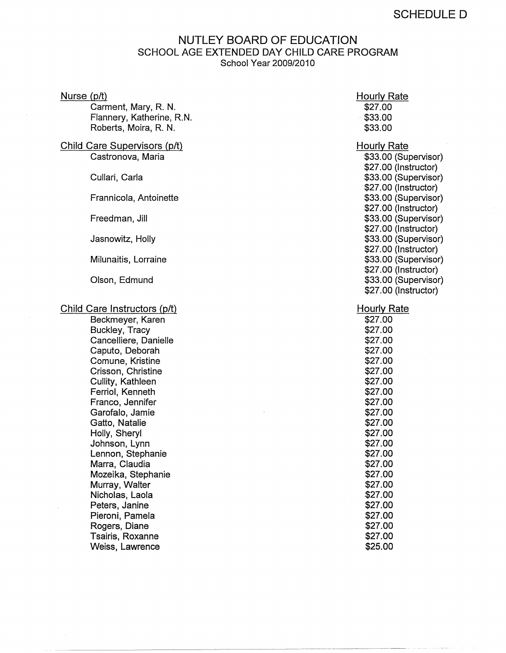## NUTLEY BOARD OF EDUCATION SCHOOL AGE EXTENDED DAY CHILD CARE PROGRAM School Year 2009/2010

| Nurse $(p/t)$<br>Carment, Mary, R. N.<br>Flannery, Katherine, R.N.<br>Roberts, Moira, R. N. | <b>Hourly Rate</b><br>\$27.00<br>\$33.00<br>\$33.00                  |
|---------------------------------------------------------------------------------------------|----------------------------------------------------------------------|
| Child Care Supervisors (p/t)<br>Castronova, Maria                                           | <b>Hourly Rate</b><br>\$33.00 (Supervisor)                           |
| Cullari, Carla                                                                              | \$27.00 (Instructor)<br>\$33.00 (Supervisor)<br>\$27.00 (Instructor) |
| Frannicola, Antoinette                                                                      | \$33.00 (Supervisor)<br>\$27.00 (Instructor)                         |
| Freedman, Jill                                                                              | \$33.00 (Supervisor)<br>\$27.00 (Instructor)                         |
| Jasnowitz, Holly                                                                            | \$33.00 (Supervisor)<br>\$27.00 (Instructor)                         |
| Milunaitis, Lorraine                                                                        | \$33.00 (Supervisor)<br>\$27.00 (Instructor)                         |
| Olson, Edmund                                                                               | \$33.00 (Supervisor)<br>\$27.00 (Instructor)                         |
| Child Care Instructors (p/t)                                                                | <b>Hourly Rate</b>                                                   |
| Beckmeyer, Karen                                                                            | \$27.00                                                              |
| Buckley, Tracy                                                                              | \$27.00                                                              |
| Cancelliere, Danielle                                                                       | \$27.00                                                              |
| Caputo, Deborah                                                                             | \$27.00                                                              |
| Comune, Kristine                                                                            | \$27.00                                                              |
| Crisson, Christine                                                                          | \$27.00                                                              |
| Cullity, Kathleen                                                                           | \$27.00                                                              |
| Ferriol, Kenneth                                                                            | \$27.00                                                              |
| Franco, Jennifer                                                                            | \$27.00                                                              |
| Garofalo, Jamie                                                                             | \$27.00                                                              |
| Gatto, Natalie                                                                              | \$27.00                                                              |
| Holly, Sheryl                                                                               | \$27.00                                                              |
| Johnson, Lynn                                                                               | \$27.00                                                              |
| Lennon, Stephanie                                                                           | \$27.00                                                              |
| Marra, Claudia                                                                              | \$27.00                                                              |
| Mozeika, Stephanie                                                                          | \$27.00                                                              |
| Murray, Walter                                                                              | \$27.00                                                              |
| Nicholas, Laola                                                                             | \$27.00                                                              |
| Peters, Janine                                                                              | \$27.00                                                              |
| Pieroni, Pamela                                                                             | \$27.00                                                              |
| Rogers, Diane                                                                               | \$27.00                                                              |
| Tsairis, Roxanne                                                                            | \$27.00                                                              |
| Weiss, Lawrence                                                                             | \$25.00                                                              |